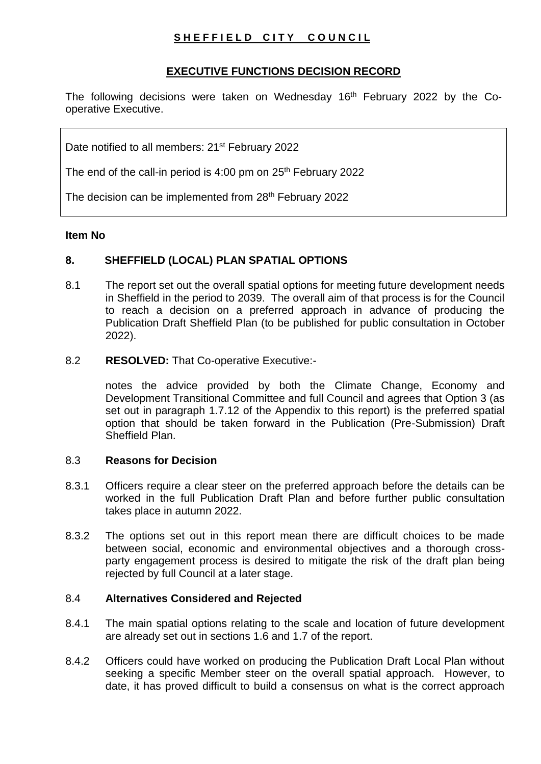# SHEFFIELD CITY COUNCIL

# **EXECUTIVE FUNCTIONS DECISION RECORD**

The following decisions were taken on Wednesday  $16<sup>th</sup>$  February 2022 by the Cooperative Executive.

Date notified to all members: 21<sup>st</sup> February 2022

The end of the call-in period is  $4:00$  pm on  $25<sup>th</sup>$  February 2022

The decision can be implemented from 28<sup>th</sup> February 2022

## **Item No**

# **8. SHEFFIELD (LOCAL) PLAN SPATIAL OPTIONS**

8.1 The report set out the overall spatial options for meeting future development needs in Sheffield in the period to 2039. The overall aim of that process is for the Council to reach a decision on a preferred approach in advance of producing the Publication Draft Sheffield Plan (to be published for public consultation in October 2022).

## 8.2 **RESOLVED:** That Co-operative Executive:-

notes the advice provided by both the Climate Change, Economy and Development Transitional Committee and full Council and agrees that Option 3 (as set out in paragraph 1.7.12 of the Appendix to this report) is the preferred spatial option that should be taken forward in the Publication (Pre-Submission) Draft Sheffield Plan.

# 8.3 **Reasons for Decision**

- 8.3.1 Officers require a clear steer on the preferred approach before the details can be worked in the full Publication Draft Plan and before further public consultation takes place in autumn 2022.
- 8.3.2 The options set out in this report mean there are difficult choices to be made between social, economic and environmental objectives and a thorough crossparty engagement process is desired to mitigate the risk of the draft plan being rejected by full Council at a later stage.

## 8.4 **Alternatives Considered and Rejected**

- 8.4.1 The main spatial options relating to the scale and location of future development are already set out in sections 1.6 and 1.7 of the report.
- 8.4.2 Officers could have worked on producing the Publication Draft Local Plan without seeking a specific Member steer on the overall spatial approach. However, to date, it has proved difficult to build a consensus on what is the correct approach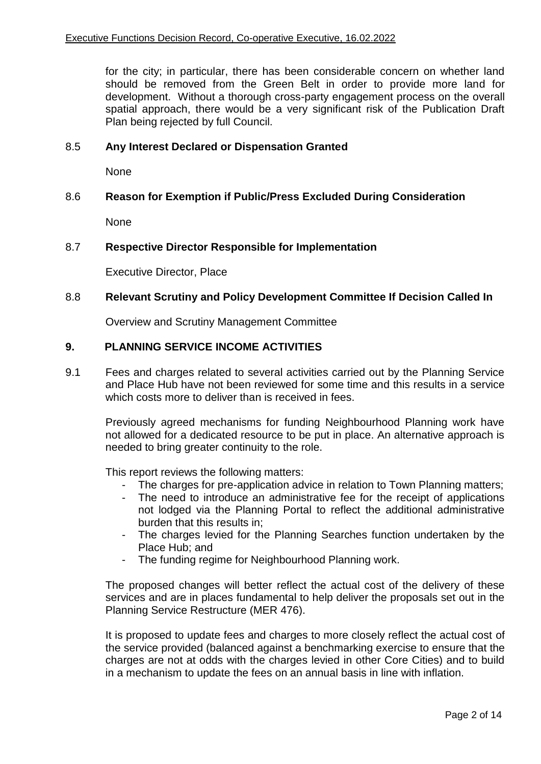for the city; in particular, there has been considerable concern on whether land should be removed from the Green Belt in order to provide more land for development. Without a thorough cross-party engagement process on the overall spatial approach, there would be a very significant risk of the Publication Draft Plan being rejected by full Council.

#### 8.5 **Any Interest Declared or Dispensation Granted**

None

#### 8.6 **Reason for Exemption if Public/Press Excluded During Consideration**

None

### 8.7 **Respective Director Responsible for Implementation**

Executive Director, Place

### 8.8 **Relevant Scrutiny and Policy Development Committee If Decision Called In**

Overview and Scrutiny Management Committee

### **9. PLANNING SERVICE INCOME ACTIVITIES**

9.1 Fees and charges related to several activities carried out by the Planning Service and Place Hub have not been reviewed for some time and this results in a service which costs more to deliver than is received in fees.

Previously agreed mechanisms for funding Neighbourhood Planning work have not allowed for a dedicated resource to be put in place. An alternative approach is needed to bring greater continuity to the role.

This report reviews the following matters:

- The charges for pre-application advice in relation to Town Planning matters;
- The need to introduce an administrative fee for the receipt of applications not lodged via the Planning Portal to reflect the additional administrative burden that this results in;
- The charges levied for the Planning Searches function undertaken by the Place Hub; and
- The funding regime for Neighbourhood Planning work.

The proposed changes will better reflect the actual cost of the delivery of these services and are in places fundamental to help deliver the proposals set out in the Planning Service Restructure (MER 476).

It is proposed to update fees and charges to more closely reflect the actual cost of the service provided (balanced against a benchmarking exercise to ensure that the charges are not at odds with the charges levied in other Core Cities) and to build in a mechanism to update the fees on an annual basis in line with inflation.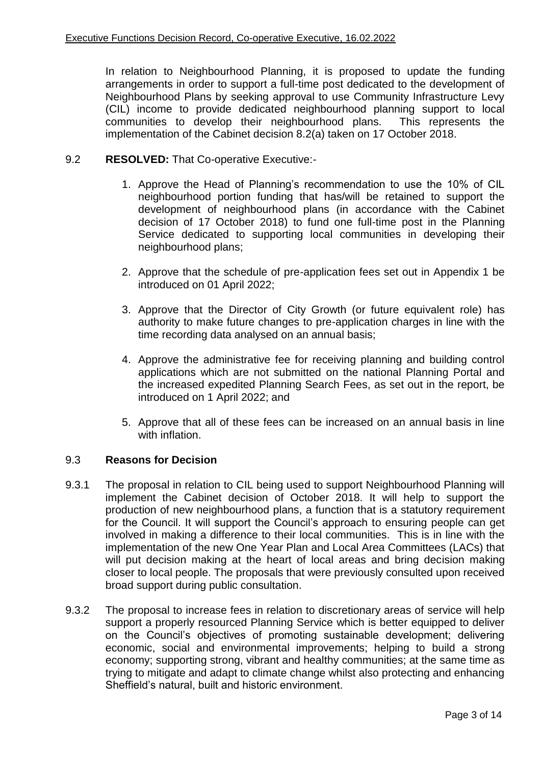In relation to Neighbourhood Planning, it is proposed to update the funding arrangements in order to support a full-time post dedicated to the development of Neighbourhood Plans by seeking approval to use Community Infrastructure Levy (CIL) income to provide dedicated neighbourhood planning support to local communities to develop their neighbourhood plans. This represents the implementation of the Cabinet decision 8.2(a) taken on 17 October 2018.

## 9.2 **RESOLVED:** That Co-operative Executive:-

- 1. Approve the Head of Planning's recommendation to use the 10% of CIL neighbourhood portion funding that has/will be retained to support the development of neighbourhood plans (in accordance with the Cabinet decision of 17 October 2018) to fund one full-time post in the Planning Service dedicated to supporting local communities in developing their neighbourhood plans;
- 2. Approve that the schedule of pre-application fees set out in Appendix 1 be introduced on 01 April 2022;
- 3. Approve that the Director of City Growth (or future equivalent role) has authority to make future changes to pre-application charges in line with the time recording data analysed on an annual basis;
- 4. Approve the administrative fee for receiving planning and building control applications which are not submitted on the national Planning Portal and the increased expedited Planning Search Fees, as set out in the report, be introduced on 1 April 2022; and
- 5. Approve that all of these fees can be increased on an annual basis in line with inflation.

## 9.3 **Reasons for Decision**

- 9.3.1 The proposal in relation to CIL being used to support Neighbourhood Planning will implement the Cabinet decision of October 2018. It will help to support the production of new neighbourhood plans, a function that is a statutory requirement for the Council. It will support the Council's approach to ensuring people can get involved in making a difference to their local communities. This is in line with the implementation of the new One Year Plan and Local Area Committees (LACs) that will put decision making at the heart of local areas and bring decision making closer to local people. The proposals that were previously consulted upon received broad support during public consultation.
- 9.3.2 The proposal to increase fees in relation to discretionary areas of service will help support a properly resourced Planning Service which is better equipped to deliver on the Council's objectives of promoting sustainable development; delivering economic, social and environmental improvements; helping to build a strong economy; supporting strong, vibrant and healthy communities; at the same time as trying to mitigate and adapt to climate change whilst also protecting and enhancing Sheffield's natural, built and historic environment.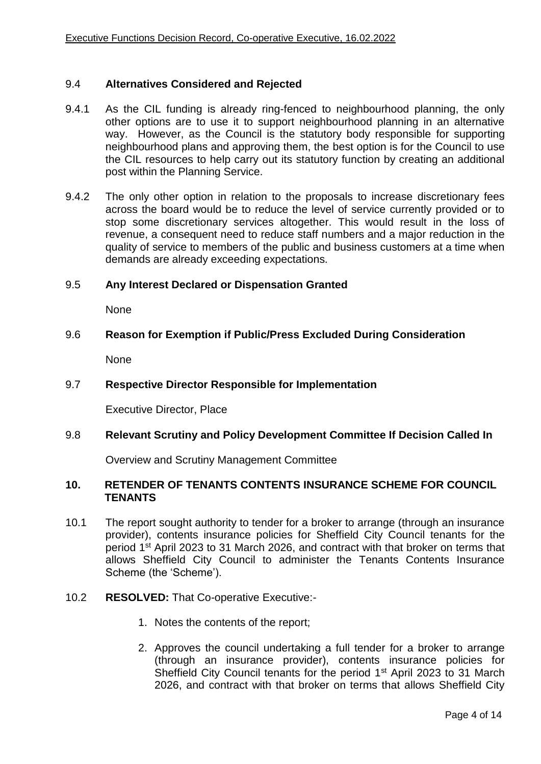#### 9.4 **Alternatives Considered and Rejected**

- 9.4.1 As the CIL funding is already ring-fenced to neighbourhood planning, the only other options are to use it to support neighbourhood planning in an alternative way. However, as the Council is the statutory body responsible for supporting neighbourhood plans and approving them, the best option is for the Council to use the CIL resources to help carry out its statutory function by creating an additional post within the Planning Service.
- 9.4.2 The only other option in relation to the proposals to increase discretionary fees across the board would be to reduce the level of service currently provided or to stop some discretionary services altogether. This would result in the loss of revenue, a consequent need to reduce staff numbers and a major reduction in the quality of service to members of the public and business customers at a time when demands are already exceeding expectations.

#### 9.5 **Any Interest Declared or Dispensation Granted**

None

#### 9.6 **Reason for Exemption if Public/Press Excluded During Consideration**

None

#### 9.7 **Respective Director Responsible for Implementation**

Executive Director, Place

#### 9.8 **Relevant Scrutiny and Policy Development Committee If Decision Called In**

Overview and Scrutiny Management Committee

#### **10. RETENDER OF TENANTS CONTENTS INSURANCE SCHEME FOR COUNCIL TENANTS**

10.1 The report sought authority to tender for a broker to arrange (through an insurance provider), contents insurance policies for Sheffield City Council tenants for the period 1st April 2023 to 31 March 2026, and contract with that broker on terms that allows Sheffield City Council to administer the Tenants Contents Insurance Scheme (the 'Scheme').

#### 10.2 **RESOLVED:** That Co-operative Executive:-

- 1. Notes the contents of the report;
- 2. Approves the council undertaking a full tender for a broker to arrange (through an insurance provider), contents insurance policies for Sheffield City Council tenants for the period 1<sup>st</sup> April 2023 to 31 March 2026, and contract with that broker on terms that allows Sheffield City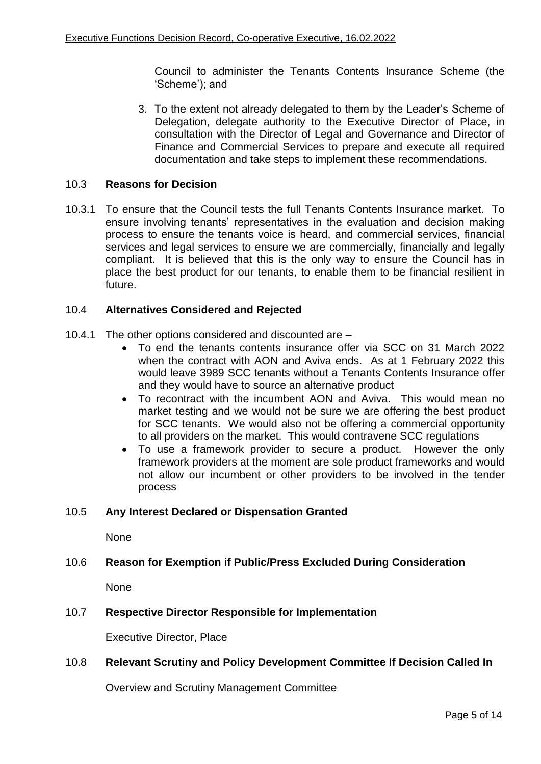Council to administer the Tenants Contents Insurance Scheme (the 'Scheme'); and

3. To the extent not already delegated to them by the Leader's Scheme of Delegation, delegate authority to the Executive Director of Place, in consultation with the Director of Legal and Governance and Director of Finance and Commercial Services to prepare and execute all required documentation and take steps to implement these recommendations.

## 10.3 **Reasons for Decision**

10.3.1 To ensure that the Council tests the full Tenants Contents Insurance market. To ensure involving tenants' representatives in the evaluation and decision making process to ensure the tenants voice is heard, and commercial services, financial services and legal services to ensure we are commercially, financially and legally compliant. It is believed that this is the only way to ensure the Council has in place the best product for our tenants, to enable them to be financial resilient in future.

#### 10.4 **Alternatives Considered and Rejected**

- 10.4.1 The other options considered and discounted are
	- To end the tenants contents insurance offer via SCC on 31 March 2022 when the contract with AON and Aviva ends. As at 1 February 2022 this would leave 3989 SCC tenants without a Tenants Contents Insurance offer and they would have to source an alternative product
	- To recontract with the incumbent AON and Aviva. This would mean no market testing and we would not be sure we are offering the best product for SCC tenants. We would also not be offering a commercial opportunity to all providers on the market. This would contravene SCC regulations
	- To use a framework provider to secure a product. However the only framework providers at the moment are sole product frameworks and would not allow our incumbent or other providers to be involved in the tender process

#### 10.5 **Any Interest Declared or Dispensation Granted**

None

#### 10.6 **Reason for Exemption if Public/Press Excluded During Consideration**

None

#### 10.7 **Respective Director Responsible for Implementation**

Executive Director, Place

## 10.8 **Relevant Scrutiny and Policy Development Committee If Decision Called In**

Overview and Scrutiny Management Committee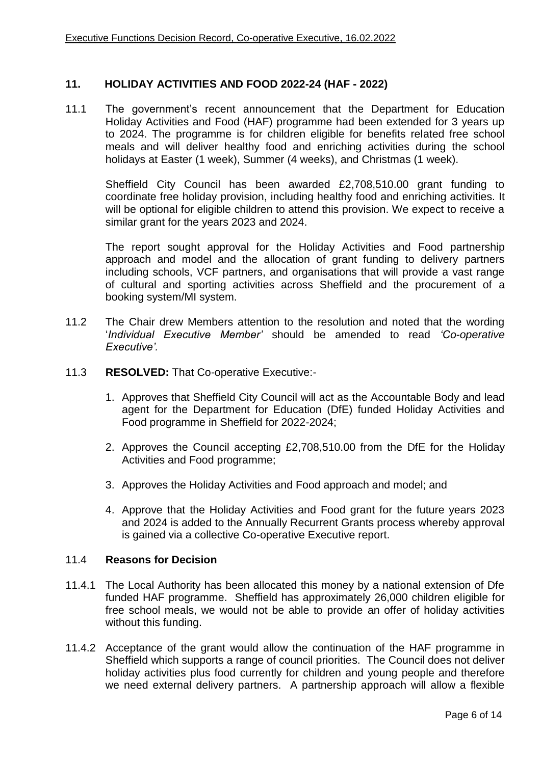#### **11. HOLIDAY ACTIVITIES AND FOOD 2022-24 (HAF - 2022)**

11.1 The government's recent announcement that the Department for Education Holiday Activities and Food (HAF) programme had been extended for 3 years up to 2024. The programme is for children eligible for benefits related free school meals and will deliver healthy food and enriching activities during the school holidays at Easter (1 week), Summer (4 weeks), and Christmas (1 week).

Sheffield City Council has been awarded £2,708,510.00 grant funding to coordinate free holiday provision, including healthy food and enriching activities. It will be optional for eligible children to attend this provision. We expect to receive a similar grant for the years 2023 and 2024.

The report sought approval for the Holiday Activities and Food partnership approach and model and the allocation of grant funding to delivery partners including schools, VCF partners, and organisations that will provide a vast range of cultural and sporting activities across Sheffield and the procurement of a booking system/MI system.

- 11.2 The Chair drew Members attention to the resolution and noted that the wording '*Individual Executive Member'* should be amended to read *'Co-operative Executive'.*
- 11.3 **RESOLVED:** That Co-operative Executive:-
	- 1. Approves that Sheffield City Council will act as the Accountable Body and lead agent for the Department for Education (DfE) funded Holiday Activities and Food programme in Sheffield for 2022-2024;
	- 2. Approves the Council accepting £2,708,510.00 from the DfE for the Holiday Activities and Food programme;
	- 3. Approves the Holiday Activities and Food approach and model; and
	- 4. Approve that the Holiday Activities and Food grant for the future years 2023 and 2024 is added to the Annually Recurrent Grants process whereby approval is gained via a collective Co-operative Executive report.

#### 11.4 **Reasons for Decision**

- 11.4.1 The Local Authority has been allocated this money by a national extension of Dfe funded HAF programme. Sheffield has approximately 26,000 children eligible for free school meals, we would not be able to provide an offer of holiday activities without this funding.
- 11.4.2 Acceptance of the grant would allow the continuation of the HAF programme in Sheffield which supports a range of council priorities. The Council does not deliver holiday activities plus food currently for children and young people and therefore we need external delivery partners. A partnership approach will allow a flexible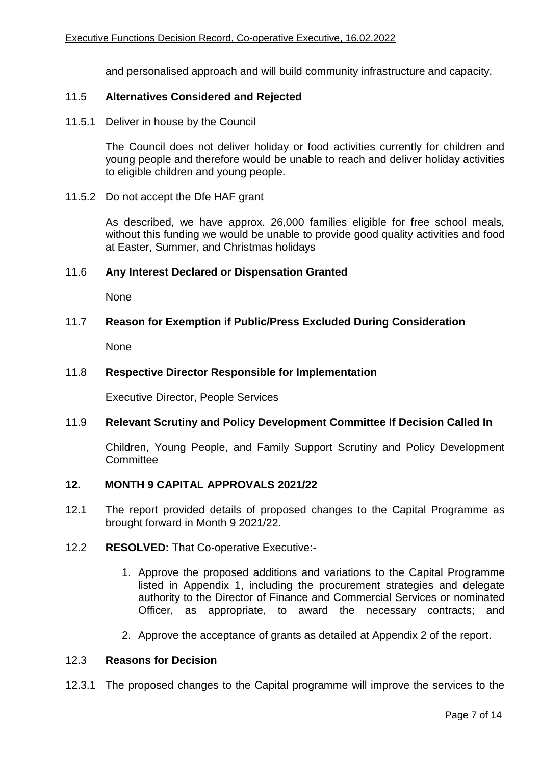and personalised approach and will build community infrastructure and capacity.

#### 11.5 **Alternatives Considered and Rejected**

11.5.1 Deliver in house by the Council

The Council does not deliver holiday or food activities currently for children and young people and therefore would be unable to reach and deliver holiday activities to eligible children and young people.

11.5.2 Do not accept the Dfe HAF grant

As described, we have approx. 26,000 families eligible for free school meals, without this funding we would be unable to provide good quality activities and food at Easter, Summer, and Christmas holidays

#### 11.6 **Any Interest Declared or Dispensation Granted**

None

### 11.7 **Reason for Exemption if Public/Press Excluded During Consideration**

None

#### 11.8 **Respective Director Responsible for Implementation**

Executive Director, People Services

#### 11.9 **Relevant Scrutiny and Policy Development Committee If Decision Called In**

Children, Young People, and Family Support Scrutiny and Policy Development **Committee** 

#### **12. MONTH 9 CAPITAL APPROVALS 2021/22**

- 12.1 The report provided details of proposed changes to the Capital Programme as brought forward in Month 9 2021/22.
- 12.2 **RESOLVED:** That Co-operative Executive:-
	- 1. Approve the proposed additions and variations to the Capital Programme listed in Appendix 1, including the procurement strategies and delegate authority to the Director of Finance and Commercial Services or nominated Officer, as appropriate, to award the necessary contracts; and
	- 2. Approve the acceptance of grants as detailed at Appendix 2 of the report.

#### 12.3 **Reasons for Decision**

12.3.1 The proposed changes to the Capital programme will improve the services to the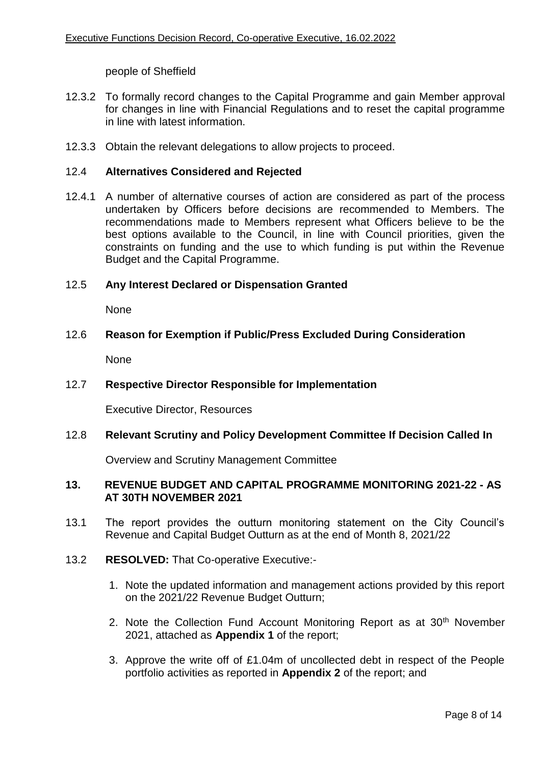people of Sheffield

- 12.3.2 To formally record changes to the Capital Programme and gain Member approval for changes in line with Financial Regulations and to reset the capital programme in line with latest information.
- 12.3.3 Obtain the relevant delegations to allow projects to proceed.

#### 12.4 **Alternatives Considered and Rejected**

12.4.1 A number of alternative courses of action are considered as part of the process undertaken by Officers before decisions are recommended to Members. The recommendations made to Members represent what Officers believe to be the best options available to the Council, in line with Council priorities, given the constraints on funding and the use to which funding is put within the Revenue Budget and the Capital Programme.

### 12.5 **Any Interest Declared or Dispensation Granted**

None

#### 12.6 **Reason for Exemption if Public/Press Excluded During Consideration**

None

## 12.7 **Respective Director Responsible for Implementation**

Executive Director, Resources

### 12.8 **Relevant Scrutiny and Policy Development Committee If Decision Called In**

Overview and Scrutiny Management Committee

### **13. REVENUE BUDGET AND CAPITAL PROGRAMME MONITORING 2021-22 - AS AT 30TH NOVEMBER 2021**

- 13.1 The report provides the outturn monitoring statement on the City Council's Revenue and Capital Budget Outturn as at the end of Month 8, 2021/22
- 13.2 **RESOLVED:** That Co-operative Executive:-
	- 1. Note the updated information and management actions provided by this report on the 2021/22 Revenue Budget Outturn;
	- 2. Note the Collection Fund Account Monitoring Report as at 30<sup>th</sup> November 2021, attached as **Appendix 1** of the report;
	- 3. Approve the write off of £1.04m of uncollected debt in respect of the People portfolio activities as reported in **Appendix 2** of the report; and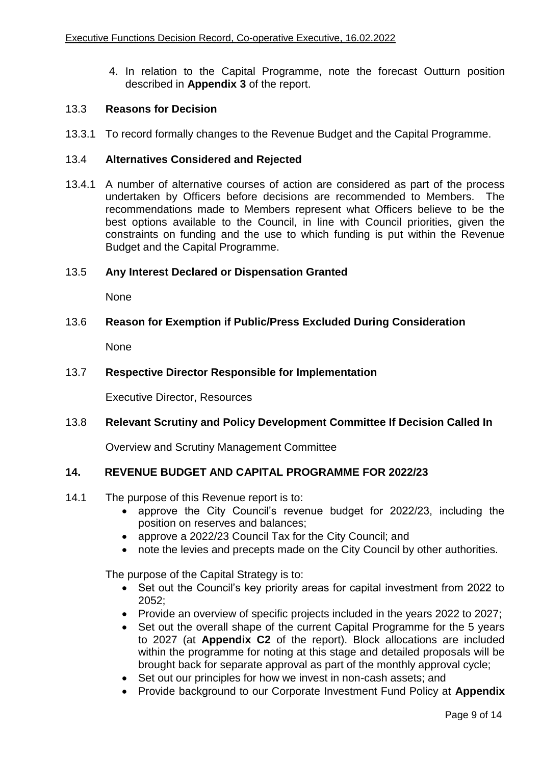4. In relation to the Capital Programme, note the forecast Outturn position described in **Appendix 3** of the report.

# 13.3 **Reasons for Decision**

13.3.1 To record formally changes to the Revenue Budget and the Capital Programme.

## 13.4 **Alternatives Considered and Rejected**

13.4.1 A number of alternative courses of action are considered as part of the process undertaken by Officers before decisions are recommended to Members. The recommendations made to Members represent what Officers believe to be the best options available to the Council, in line with Council priorities, given the constraints on funding and the use to which funding is put within the Revenue Budget and the Capital Programme.

### 13.5 **Any Interest Declared or Dispensation Granted**

None

### 13.6 **Reason for Exemption if Public/Press Excluded During Consideration**

None

### 13.7 **Respective Director Responsible for Implementation**

Executive Director, Resources

## 13.8 **Relevant Scrutiny and Policy Development Committee If Decision Called In**

Overview and Scrutiny Management Committee

## **14. REVENUE BUDGET AND CAPITAL PROGRAMME FOR 2022/23**

- 14.1 The purpose of this Revenue report is to:
	- approve the City Council's revenue budget for 2022/23, including the position on reserves and balances;
	- approve a 2022/23 Council Tax for the City Council; and
	- note the levies and precepts made on the City Council by other authorities.

The purpose of the Capital Strategy is to:

- Set out the Council's key priority areas for capital investment from 2022 to 2052;
- Provide an overview of specific projects included in the years 2022 to 2027;
- Set out the overall shape of the current Capital Programme for the 5 years to 2027 (at **Appendix C2** of the report). Block allocations are included within the programme for noting at this stage and detailed proposals will be brought back for separate approval as part of the monthly approval cycle;
- Set out our principles for how we invest in non-cash assets; and
- Provide background to our Corporate Investment Fund Policy at **Appendix**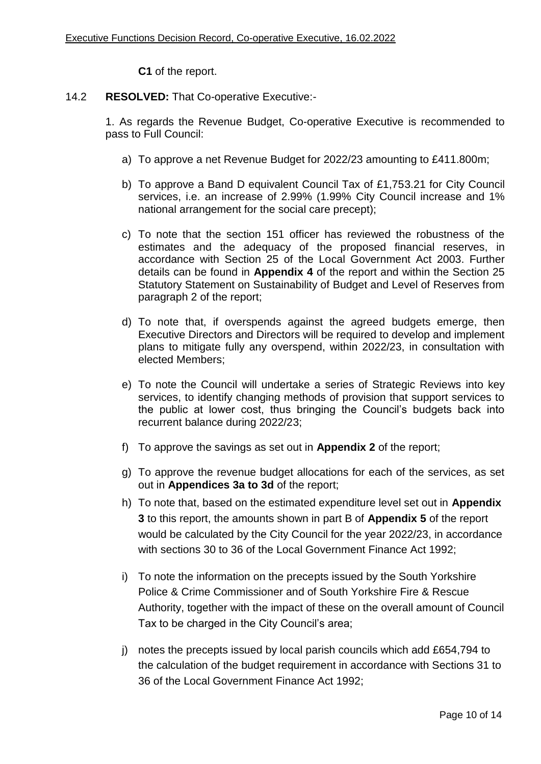**C1** of the report.

14.2 **RESOLVED:** That Co-operative Executive:-

1. As regards the Revenue Budget, Co-operative Executive is recommended to pass to Full Council:

- a) To approve a net Revenue Budget for 2022/23 amounting to £411.800m;
- b) To approve a Band D equivalent Council Tax of £1,753.21 for City Council services, i.e. an increase of 2.99% (1.99% City Council increase and 1% national arrangement for the social care precept);
- c) To note that the section 151 officer has reviewed the robustness of the estimates and the adequacy of the proposed financial reserves, in accordance with Section 25 of the Local Government Act 2003. Further details can be found in **Appendix 4** of the report and within the Section 25 Statutory Statement on Sustainability of Budget and Level of Reserves from paragraph 2 of the report;
- d) To note that, if overspends against the agreed budgets emerge, then Executive Directors and Directors will be required to develop and implement plans to mitigate fully any overspend, within 2022/23, in consultation with elected Members;
- e) To note the Council will undertake a series of Strategic Reviews into key services, to identify changing methods of provision that support services to the public at lower cost, thus bringing the Council's budgets back into recurrent balance during 2022/23;
- f) To approve the savings as set out in **Appendix 2** of the report;
- g) To approve the revenue budget allocations for each of the services, as set out in **Appendices 3a to 3d** of the report;
- h) To note that, based on the estimated expenditure level set out in **Appendix 3** to this report, the amounts shown in part B of **Appendix 5** of the report would be calculated by the City Council for the year 2022/23, in accordance with sections 30 to 36 of the Local Government Finance Act 1992;
- i) To note the information on the precepts issued by the South Yorkshire Police & Crime Commissioner and of South Yorkshire Fire & Rescue Authority, together with the impact of these on the overall amount of Council Tax to be charged in the City Council's area;
- j) notes the precepts issued by local parish councils which add £654,794 to the calculation of the budget requirement in accordance with Sections 31 to 36 of the Local Government Finance Act 1992;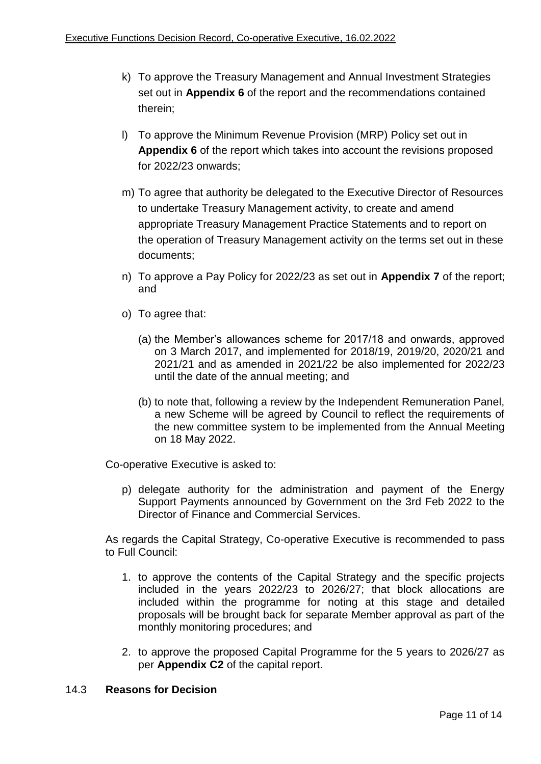- k) To approve the Treasury Management and Annual Investment Strategies set out in **Appendix 6** of the report and the recommendations contained therein;
- l) To approve the Minimum Revenue Provision (MRP) Policy set out in **Appendix 6** of the report which takes into account the revisions proposed for 2022/23 onwards;
- m) To agree that authority be delegated to the Executive Director of Resources to undertake Treasury Management activity, to create and amend appropriate Treasury Management Practice Statements and to report on the operation of Treasury Management activity on the terms set out in these documents;
- n) To approve a Pay Policy for 2022/23 as set out in **Appendix 7** of the report; and
- o) To agree that:
	- (a) the Member's allowances scheme for 2017/18 and onwards, approved on 3 March 2017, and implemented for 2018/19, 2019/20, 2020/21 and 2021/21 and as amended in 2021/22 be also implemented for 2022/23 until the date of the annual meeting; and
	- (b) to note that, following a review by the Independent Remuneration Panel, a new Scheme will be agreed by Council to reflect the requirements of the new committee system to be implemented from the Annual Meeting on 18 May 2022.

Co-operative Executive is asked to:

p) delegate authority for the administration and payment of the Energy Support Payments announced by Government on the 3rd Feb 2022 to the Director of Finance and Commercial Services.

As regards the Capital Strategy, Co-operative Executive is recommended to pass to Full Council:

- 1. to approve the contents of the Capital Strategy and the specific projects included in the years 2022/23 to 2026/27; that block allocations are included within the programme for noting at this stage and detailed proposals will be brought back for separate Member approval as part of the monthly monitoring procedures; and
- 2. to approve the proposed Capital Programme for the 5 years to 2026/27 as per **Appendix C2** of the capital report.

## 14.3 **Reasons for Decision**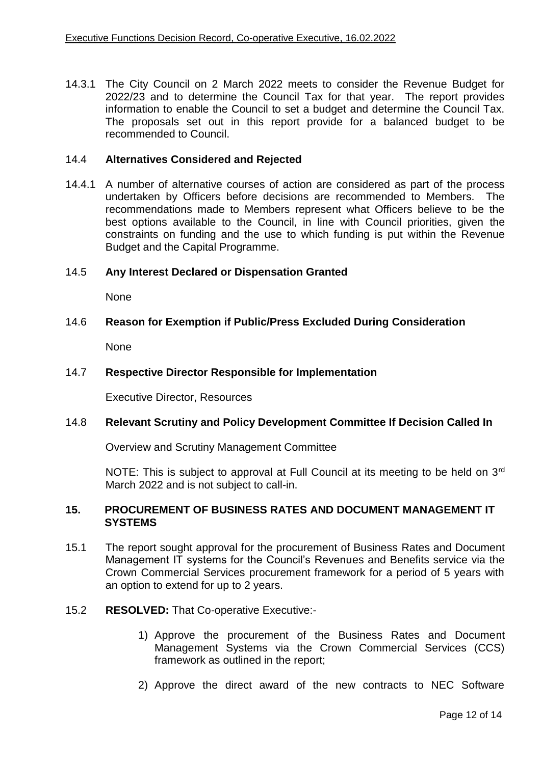14.3.1 The City Council on 2 March 2022 meets to consider the Revenue Budget for 2022/23 and to determine the Council Tax for that year. The report provides information to enable the Council to set a budget and determine the Council Tax. The proposals set out in this report provide for a balanced budget to be recommended to Council.

#### 14.4 **Alternatives Considered and Rejected**

14.4.1 A number of alternative courses of action are considered as part of the process undertaken by Officers before decisions are recommended to Members. The recommendations made to Members represent what Officers believe to be the best options available to the Council, in line with Council priorities, given the constraints on funding and the use to which funding is put within the Revenue Budget and the Capital Programme.

## 14.5 **Any Interest Declared or Dispensation Granted**

None

#### 14.6 **Reason for Exemption if Public/Press Excluded During Consideration**

None

#### 14.7 **Respective Director Responsible for Implementation**

Executive Director, Resources

#### 14.8 **Relevant Scrutiny and Policy Development Committee If Decision Called In**

Overview and Scrutiny Management Committee

NOTE: This is subject to approval at Full Council at its meeting to be held on 3<sup>rd</sup> March 2022 and is not subject to call-in.

#### **15. PROCUREMENT OF BUSINESS RATES AND DOCUMENT MANAGEMENT IT SYSTEMS**

- 15.1 The report sought approval for the procurement of Business Rates and Document Management IT systems for the Council's Revenues and Benefits service via the Crown Commercial Services procurement framework for a period of 5 years with an option to extend for up to 2 years.
- 15.2 **RESOLVED:** That Co-operative Executive:-
	- 1) Approve the procurement of the Business Rates and Document Management Systems via the Crown Commercial Services (CCS) framework as outlined in the report;
	- 2) Approve the direct award of the new contracts to NEC Software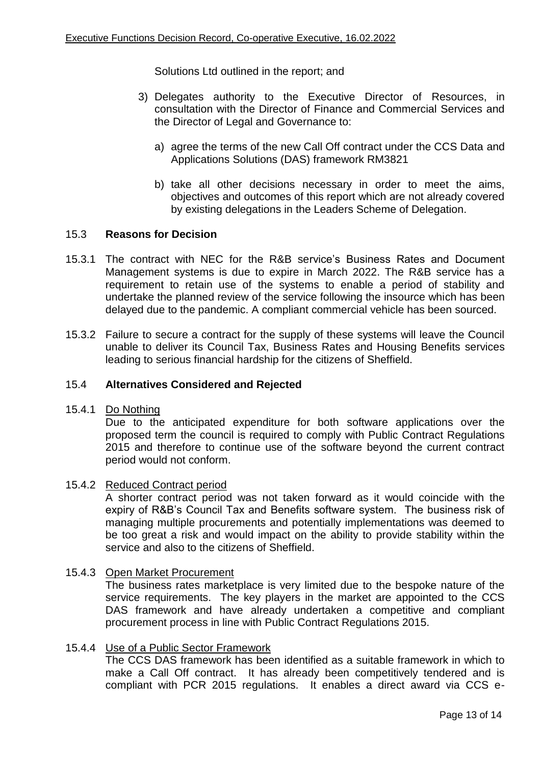Solutions Ltd outlined in the report; and

- 3) Delegates authority to the Executive Director of Resources, in consultation with the Director of Finance and Commercial Services and the Director of Legal and Governance to:
	- a) agree the terms of the new Call Off contract under the CCS Data and Applications Solutions (DAS) framework RM3821
	- b) take all other decisions necessary in order to meet the aims, objectives and outcomes of this report which are not already covered by existing delegations in the Leaders Scheme of Delegation.

### 15.3 **Reasons for Decision**

- 15.3.1 The contract with NEC for the R&B service's Business Rates and Document Management systems is due to expire in March 2022. The R&B service has a requirement to retain use of the systems to enable a period of stability and undertake the planned review of the service following the insource which has been delayed due to the pandemic. A compliant commercial vehicle has been sourced.
- 15.3.2 Failure to secure a contract for the supply of these systems will leave the Council unable to deliver its Council Tax, Business Rates and Housing Benefits services leading to serious financial hardship for the citizens of Sheffield.

#### 15.4 **Alternatives Considered and Rejected**

15.4.1 Do Nothing

Due to the anticipated expenditure for both software applications over the proposed term the council is required to comply with Public Contract Regulations 2015 and therefore to continue use of the software beyond the current contract period would not conform.

#### 15.4.2 Reduced Contract period

A shorter contract period was not taken forward as it would coincide with the expiry of R&B's Council Tax and Benefits software system. The business risk of managing multiple procurements and potentially implementations was deemed to be too great a risk and would impact on the ability to provide stability within the service and also to the citizens of Sheffield.

#### 15.4.3 Open Market Procurement

The business rates marketplace is very limited due to the bespoke nature of the service requirements. The key players in the market are appointed to the CCS DAS framework and have already undertaken a competitive and compliant procurement process in line with Public Contract Regulations 2015.

#### 15.4.4 Use of a Public Sector Framework

The CCS DAS framework has been identified as a suitable framework in which to make a Call Off contract. It has already been competitively tendered and is compliant with PCR 2015 regulations. It enables a direct award via CCS e